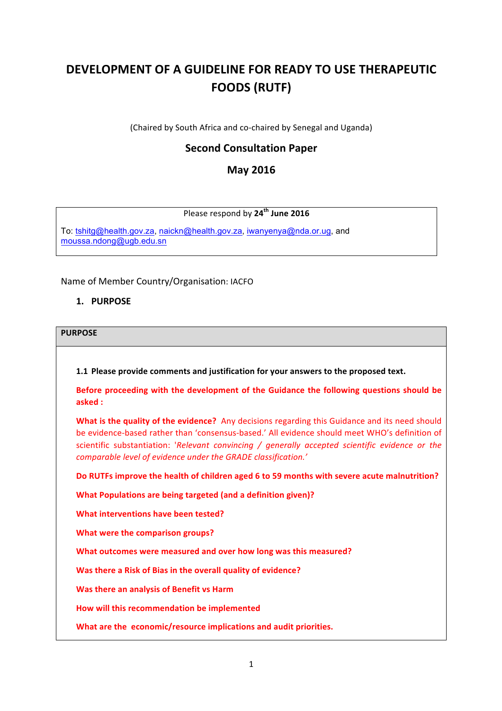# **DEVELOPMENT OF A GUIDELINE FOR READY TO USE THERAPEUTIC FOODS (RUTF)**

(Chaired by South Africa and co-chaired by Senegal and Uganda)

# **Second Consultation Paper**

# **May 2016**

# Please respond by **24th June 2016**

To: [tshitg@health.gov.za](mailto:tshitg@health.gov.za), [naickn@health.gov.za](mailto:naickn@health.gov.za), [iwanyenya@nda.or.ug](mailto:iwanyenya@nda.or.ug), and [moussa.ndong@ugb.edu.sn](mailto:moussa.ndong@ugb.edu.sn)

#### Name of Member Country/Organisation: IACFO

## **1. PURPOSE**

#### **PURPOSE**

**1.1 Please provide comments and justification for your answers to the proposed text.** 

Before proceeding with the development of the Guidance the following questions should be **asked :**

**What is the quality of the evidence?** Any decisions regarding this Guidance and its need should be evidence-based rather than 'consensus-based.' All evidence should meet WHO's definition of scientific substantiation: '*Relevant convincing / generally accepted scientific evidence or the comparable level of evidence under the GRADE classification.'* 

**Do RUTFs improve the health of children aged 6 to 59 months with severe acute malnutrition?** 

**What Populations are being targeted (and a definition given)?** 

**What interventions have been tested?** 

**What were the comparison groups?** 

What outcomes were measured and over how long was this measured?

**Was there a Risk of Bias in the overall quality of evidence?** 

**Was there an analysis of Benefit vs Harm** 

**How will this recommendation be implemented** 

**What are the economic/resource implications and audit priorities.**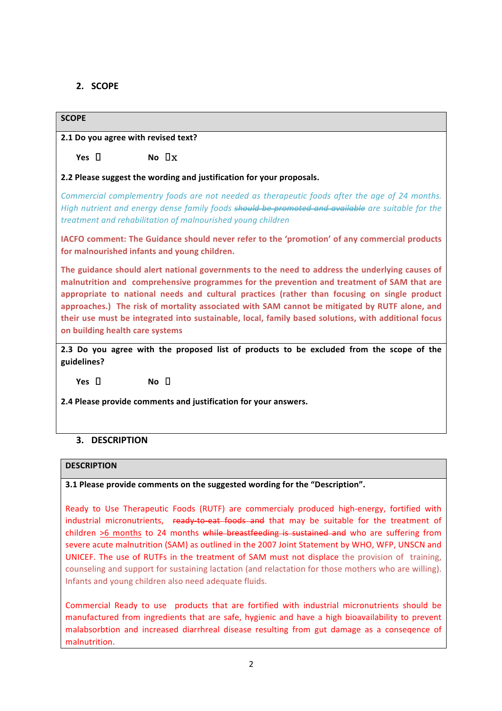# **2. SCOPE**

# **SCOPE**

**2.1 Do you agree with revised text?** 

 $Yes \quad \Box$  **No**  $\Box$  **X** 

**2.2 Please suggest the wording and justification for your proposals.** 

*Commercial complementry foods are not needed as therapeutic foods after the age of 24 months. High nutrient and energy dense family foods should be promoted and available are suitable for the treatment and rehabilitation of malnourished young children*

**IACFO** comment: The Guidance should never refer to the 'promotion' of any commercial products for malnourished infants and voung children.

The guidance should alert national governments to the need to address the underlying causes of malnutrition and comprehensive programmes for the prevention and treatment of SAM that are **appropriate to national needs and cultural practices (rather than focusing on single product**  approaches.) The risk of mortality associated with SAM cannot be mitigated by RUTF alone, and their use must be integrated into sustainable, local, family based solutions, with additional focus **on building health care systems**

**2.3** Do you agree with the proposed list of products to be excluded from the scope of the **guidelines?**

 $Yes \tPi$  **No**  $\Pi$ 

**2.4 Please provide comments and justification for your answers.**

# **3. DESCRIPTION**

#### **DESCRIPTION**

#### **3.1 Please provide comments on the suggested wording for the "Description".**

Ready to Use Therapeutic Foods (RUTF) are commercialy produced high-energy, fortified with industrial micronutrients, ready-to-eat foods and that may be suitable for the treatment of children  $>6$  months to 24 months while breastfeeding is sustained and who are suffering from severe acute malnutrition (SAM) as outlined in the 2007 Joint Statement by WHO, WFP, UNSCN and UNICEF. The use of RUTFs in the treatment of SAM must not displace the provision of training, counseling and support for sustaining lactation (and relactation for those mothers who are willing). Infants and young children also need adequate fluids.

Commercial Ready to use products that are fortified with industrial micronutrients should be manufactured from ingredients that are safe, hygienic and have a high bioavailability to prevent malabsorbtion and increased diarrhreal disease resulting from gut damage as a conseqence of malnutrition.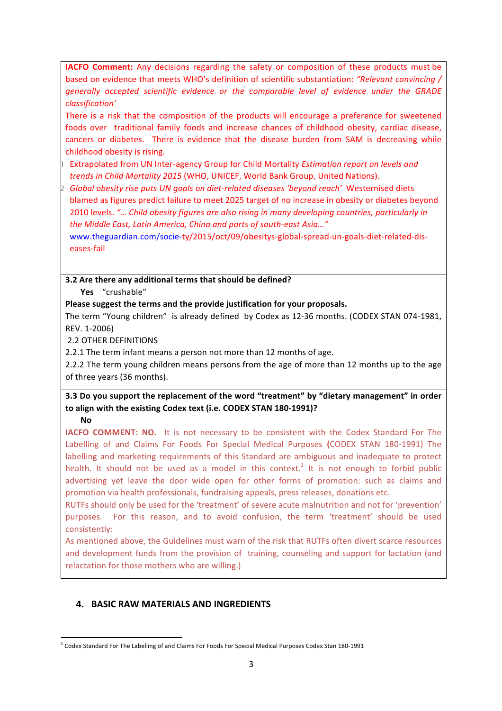**IACFO Comment:** Any decisions regarding the safety or composition of these products must be based on evidence that meets WHO's definition of scientific substantiation: "Relevant convincing / *generally accepted scientific evidence or the comparable level of evidence under the GRADE classification'*

There is a risk that the composition of the products will encourage a preference for sweetened foods over traditional family foods and increase chances of childhood obesity, cardiac disease, cancers or diabetes. There is evidence that the disease burden from SAM is decreasing while childhood obesity is rising.

Extrapolated from UN Inter-agency Group for Child Mortality *Estimation report on levels and trends in Child Mortality 2015* (WHO, UNICEF, World Bank Group, United Nations).

Global obesity rise puts UN goals on diet-related diseases 'beyond reach' Westernised diets blamed as figures predict failure to meet 2025 target of no increase in obesity or diabetes beyond 2010 levels. "... Child obesity figures are also rising in many developing countries, particularly in the Middle East, Latin America, China and parts of south-east Asia..."

[www.theguardian.com/socie-](http://www.theguardian.com/socie-)ty/2015/oct/09/obesitys-global-spread-un-goals-diet-related-diseases-fail

**3.2** Are there any additional terms that should be defined?

**Yes**  "crushable" 

Please suggest the terms and the provide justification for your proposals.

The term "Young children" is already defined by Codex as 12-36 months. (CODEX STAN 074-1981, REV. 1-2006)

2.2 OTHER DEFINITIONS 

2.2.1 The term infant means a person not more than 12 months of age.

2.2.2 The term young children means persons from the age of more than 12 months up to the age of three years (36 months).

# **3.3** Do you support the replacement of the word "treatment" by "dietary management" in order to align with the existing Codex text (i.e. CODEX STAN 180-1991)?

**No** 

**IACFO COMMENT:** NO. It is not necessary to be consistent with the Codex Standard For The Labelling of and Claims For Foods For Special Medical Purposes (CODEX STAN 180-1991) The labelling and marketing requirements of this Standard are ambiguous and inadequate to protect health. It should not be used as a model in this context.<sup>1</sup> It is not enough to forbid public advertising yet leave the door wide open for other forms of promotion: such as claims and promotion via health professionals, fundraising appeals, press releases, donations etc.

RUTFs should only be used for the 'treatment' of severe acute malnutrition and not for 'prevention' purposes. For this reason, and to avoid confusion, the term 'treatment' should be used consistently: 

As mentioned above, the Guidelines must warn of the risk that RUTFs often divert scarce resources and development funds from the provision of training, counseling and support for lactation (and relactation for those mothers who are willing.)

# **4. BASIC RAW MATERIALS AND INGREDIENTS**

<sup>&</sup>lt;u> 1989 - Jan Samuel Barbara, margaret e</u>  $1$  Codex Standard For The Labelling of and Claims For Foods For Special Medical Purposes Codex Stan 180-1991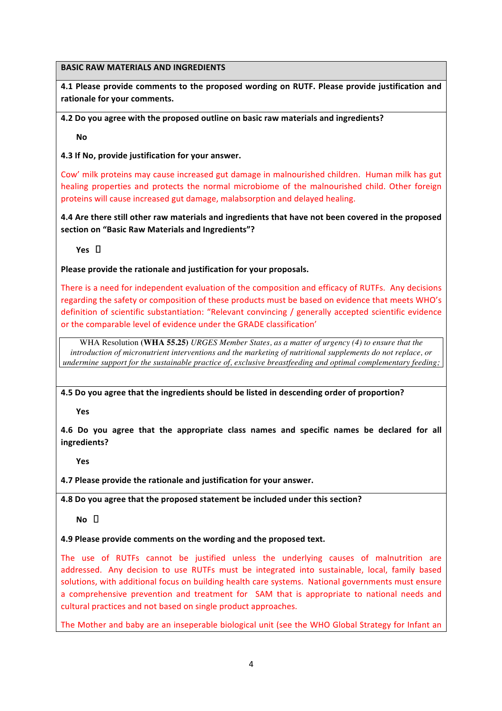#### **BASIC RAW MATERIALS AND INGREDIENTS**

**4.1 Please provide comments to the proposed wording on RUTF. Please provide justification and** rationale for your comments.

## **4.2** Do you agree with the proposed outline on basic raw materials and ingredients?

**No** 

**4.3 If No, provide justification for your answer.** 

Cow' milk proteins may cause increased gut damage in malnourished children. Human milk has gut healing properties and protects the normal microbiome of the malnourished child. Other foreign proteins will cause increased gut damage, malabsorption and delayed healing.

**4.4** Are there still other raw materials and ingredients that have not been covered in the proposed section on "Basic Raw Materials and Ingredients"?

 $Yes \Pi$ 

Please provide the rationale and justification for your proposals.

There is a need for independent evaluation of the composition and efficacy of RUTFs. Any decisions regarding the safety or composition of these products must be based on evidence that meets WHO's definition of scientific substantiation: "Relevant convincing / generally accepted scientific evidence or the comparable level of evidence under the GRADE classification'

WHA Resolution **(WHA 55.25)** *URGES Member States, as a matter of urgency (4) to ensure that the introduction of micronutrient interventions and the marketing of nutritional supplements do not replace, or undermine support for the sustainable practice of, exclusive breastfeeding and optimal complementary feeding;*

4.5 Do you agree that the ingredients should be listed in descending order of proportion?

**Yes** 

**4.6** Do you agree that the appropriate class names and specific names be declared for all **ingredients?**

**Yes** 

**4.7 Please provide the rationale and justification for your answer.** 

**4.8** Do you agree that the proposed statement be included under this section?

 $N$ <sup>O</sup>  $\Box$ 

#### **4.9 Please provide comments on the wording and the proposed text.**

The use of RUTFs cannot be justified unless the underlying causes of malnutrition are addressed. Any decision to use RUTFs must be integrated into sustainable, local, family based solutions, with additional focus on building health care systems. National governments must ensure a comprehensive prevention and treatment for SAM that is appropriate to national needs and cultural practices and not based on single product approaches.

The Mother and baby are an inseperable biological unit (see the WHO Global Strategy for Infant an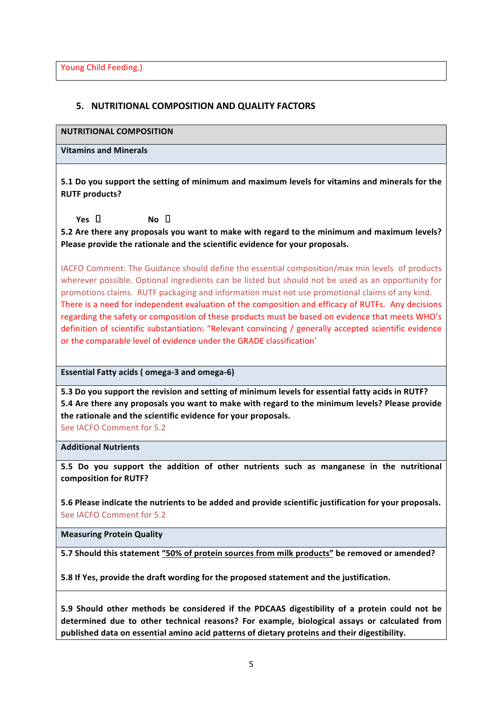## **5. NUTRITIONAL COMPOSITION AND QUALITY FACTORS**

**NUTRITIONAL COMPOSITION**

**Vitamins and Minerals**

**5.1** Do you support the setting of minimum and maximum levels for vitamins and minerals for the **RUTF** products?

 $Yes \quad \Box$  **No**  $\Box$ 

**5.2** Are there any proposals you want to make with regard to the minimum and maximum levels? Please provide the rationale and the scientific evidence for your proposals.

IACFO Comment: The Guidance should define the essential composition/max min levels of products wherever possible. Optional ingredients can be listed but should not be used as an opportunity for promotions claims. RUTF packaging and information must not use promotional claims of any kind. There is a need for independent evaluation of the composition and efficacy of RUTFs. Any decisions regarding the safety or composition of these products must be based on evidence that meets WHO's definition of scientific substantiation: "Relevant convincing / generally accepted scientific evidence or the comparable level of evidence under the GRADE classification'

**Essential Fatty acids ( omega-3 and omega-6)** 

**5.3** Do you support the revision and setting of minimum levels for essential fatty acids in RUTF? **5.4** Are there any proposals you want to make with regard to the minimum levels? Please provide the rationale and the scientific evidence for your proposals.

See IACFO Comment for 5.2

**Additional Nutrients**

**5.5** Do you support the addition of other nutrients such as manganese in the nutritional composition for **RUTF?** 

**5.6 Please indicate the nutrients to be added and provide scientific justification for your proposals.** See IACFO Comment for 5.2

**Measuring Protein Quality**

5.7 Should this statement "50% of protein sources from milk products" be removed or amended?

**5.8** If Yes, provide the draft wording for the proposed statement and the justification.

**5.9** Should other methods be considered if the PDCAAS digestibility of a protein could not be determined due to other technical reasons? For example, biological assays or calculated from published data on essential amino acid patterns of dietary proteins and their digestibility.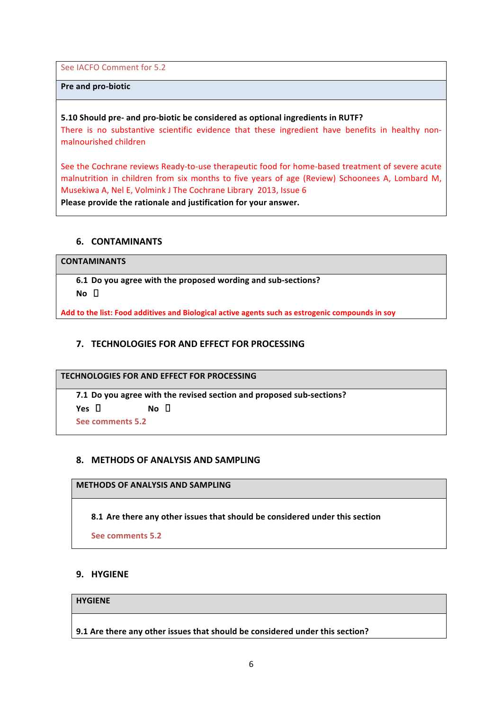See IACFO Comment for 5.2

#### **Pre and pro-biotic**

#### **5.10 Should pre- and pro-biotic be considered as optional ingredients in RUTF?**

There is no substantive scientific evidence that these ingredient have benefits in healthy nonmalnourished children

See the Cochrane reviews Ready-to-use therapeutic food for home-based treatment of severe acute malnutrition in children from six months to five years of age (Review) Schoonees A, Lombard M, Musekiwa A, Nel E, Volmink J The Cochrane Library 2013, Issue 6

Please provide the rationale and justification for your answer.

#### **6. CONTAMINANTS**

#### **CONTAMINANTS**

**6.1 Do you agree with the proposed wording and sub-sections?**  $N$ **O**  $\Box$ 

Add to the list: Food additives and Biological active agents such as estrogenic compounds in soy

## **7. TECHNOLOGIES FOR AND EFFECT FOR PROCESSING**

#### **TECHNOLOGIES FOR AND EFFECT FOR PROCESSING**

**7.1** Do you agree with the revised section and proposed sub-sections?  $Yes \quad \Box$  **No**  $\Box$ 

**See comments 5.2**

#### **8. METHODS OF ANALYSIS AND SAMPLING**

#### **METHODS OF ANALYSIS AND SAMPLING**

**8.1** Are there any other issues that should be considered under this section

**See comments 5.2**

#### **9. HYGIENE**

#### **HYGIENE**

**9.1** Are there any other issues that should be considered under this section?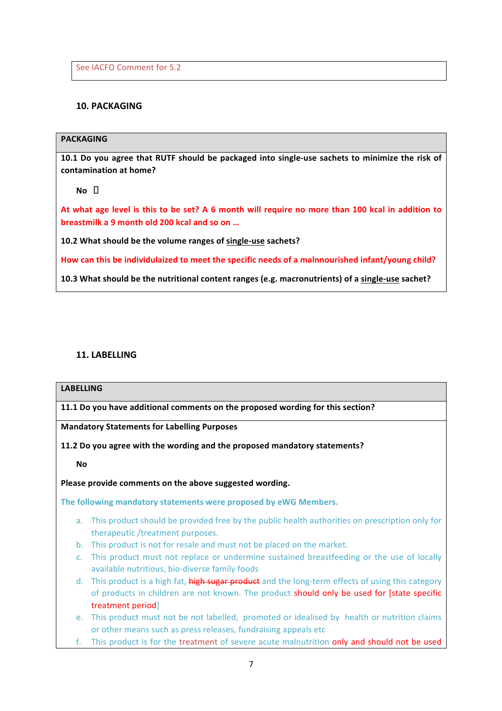See IACFO Comment for 5.2

# **10. PACKAGING**

#### **PACKAGING**

**10.1** Do you agree that RUTF should be packaged into single-use sachets to minimize the risk of contamination at home?

 $No$   $\Box$ 

At what age level is this to be set? A 6 month will require no more than 100 kcal in addition to **breastmilk a 9 month old 200 kcal and so on ...** 

**10.2 What should be the volume ranges of single-use sachets?**

How can this be individulaized to meet the specific needs of a malnnourished infant/young child?

**10.3** What should be the nutritional content ranges (e.g. macronutrients) of a single-use sachet?

#### **11. LABELLING**

#### **LABELLING**

**11.1** Do you have additional comments on the proposed wording for this section?

**Mandatory Statements for Labelling Purposes**

**11.2** Do you agree with the wording and the proposed mandatory statements?

**No** 

Please provide comments on the above suggested wording.

The following mandatory statements were proposed by eWG Members.

- a. This product should be provided free by the public health authorities on prescription only for therapeutic /treatment purposes.
- b. This product is not for resale and must not be placed on the market.
- c. This product must not replace or undermine sustained breastfeeding or the use of locally available nutritious, bio-diverse family foods
- d. This product is a high fat, high sugar product and the long-term effects of using this category of products in children are not known. The product should only be used for [state specific treatment period]
- e. This product must not be not labelled, promoted or idealised by health or nutrition claims or other means such as press releases, fundraising appeals etc
- f. This product is for the treatment of severe acute malnutrition only and should not be used